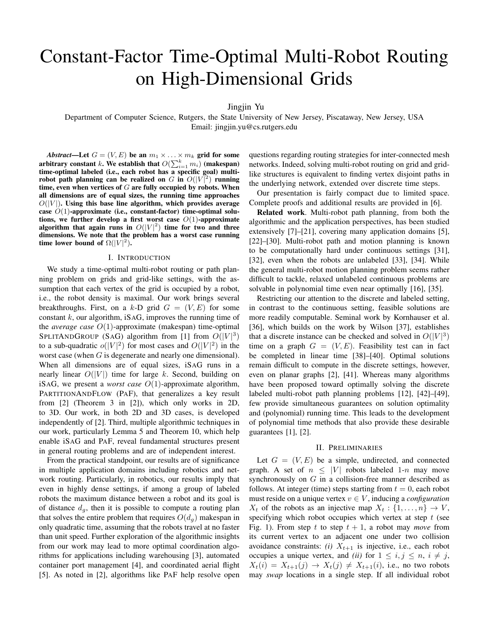# Constant-Factor Time-Optimal Multi-Robot Routing on High-Dimensional Grids

Jingjin Yu

Department of Computer Science, Rutgers, the State University of New Jersey, Piscataway, New Jersey, USA Email: jingjin.yu@cs.rutgers.edu

*Abstract*—Let  $G = (V, E)$  be an  $m_1 \times \ldots \times m_k$  grid for some arbitrary constant k. We establish that  $O(\sum_{i=1}^k m_i)$  (makespan) time-optimal labeled (i.e., each robot has a specific goal) multirobot path planning can be realized on G in  $O(|V|^2)$  running time, even when vertices of  $G$  are fully occupied by robots. When all dimensions are of equal sizes, the running time approaches  $O(|V|)$ . Using this base line algorithm, which provides average case  $O(1)$ -approximate (i.e., constant-factor) time-optimal solutions, we further develop a first worst case  $O(1)$ -approximate algorithm that again runs in  $O(|V|^2)$  time for two and three dimensions. We note that the problem has a worst case running time lower bound of  $\Omega(|V|^2)$ .

#### I. INTRODUCTION

We study a time-optimal multi-robot routing or path planning problem on grids and grid-like settings, with the assumption that each vertex of the grid is occupied by a robot, i.e., the robot density is maximal. Our work brings several breakthroughs. First, on a k-D grid  $G = (V, E)$  for some constant  $k$ , our algorithm, iSAG, improves the running time of the *average case* O(1)-approximate (makespan) time-optimal SPLITANDGROUP (SAG) algorithm from [1] from  $O(|V|^3)$ to a sub-quadratic  $o(|V|^2)$  for most cases and  $O(|V|^2)$  in the worst case (when G is degenerate and nearly one dimensional). When all dimensions are of equal sizes, iSAG runs in a nearly linear  $O(|V|)$  time for large k. Second, building on iSAG, we present a *worst case* O(1)-approximate algorithm, PARTITIONANDFLOW (PAF), that generalizes a key result from [2] (Theorem 3 in [2]), which only works in 2D, to 3D. Our work, in both 2D and 3D cases, is developed independently of [2]. Third, multiple algorithmic techniques in our work, particularly Lemma 5 and Theorem 10, which help enable iSAG and PAF, reveal fundamental structures present in general routing problems and are of independent interest.

From the practical standpoint, our results are of significance in multiple application domains including robotics and network routing. Particularly, in robotics, our results imply that even in highly dense settings, if among a group of labeled robots the maximum distance between a robot and its goal is of distance  $d_q$ , then it is possible to compute a routing plan that solves the entire problem that requires  $O(d_q)$  makespan in only quadratic time, assuming that the robots travel at no faster than unit speed. Further exploration of the algorithmic insights from our work may lead to more optimal coordination algorithms for applications including warehousing [3], automated container port management [4], and coordinated aerial flight [5]. As noted in [2], algorithms like PAF help resolve open questions regarding routing strategies for inter-connected mesh networks. Indeed, solving multi-robot routing on grid and gridlike structures is equivalent to finding vertex disjoint paths in the underlying network, extended over discrete time steps.

Our presentation is fairly compact due to limited space. Complete proofs and additional results are provided in [6].

Related work. Multi-robot path planning, from both the algorithmic and the application perspectives, has been studied extensively [7]–[21], covering many application domains [5], [22]–[30]. Multi-robot path and motion planning is known to be computationally hard under continuous settings [31], [32], even when the robots are unlabeled [33], [34]. While the general multi-robot motion planning problem seems rather difficult to tackle, relaxed unlabeled continuous problems are solvable in polynomial time even near optimally [16], [35].

Restricting our attention to the discrete and labeled setting, in contrast to the continuous setting, feasible solutions are more readily computable. Seminal work by Kornhauser et al. [36], which builds on the work by Wilson [37], establishes that a discrete instance can be checked and solved in  $O(|V|^3)$ time on a graph  $G = (V, E)$ . Feasibility test can in fact be completed in linear time [38]–[40]. Optimal solutions remain difficult to compute in the discrete settings, however, even on planar graphs [2], [41]. Whereas many algorithms have been proposed toward optimally solving the discrete labeled multi-robot path planning problems [12], [42]–[49], few provide simultaneous guarantees on solution optimality and (polynomial) running time. This leads to the development of polynomial time methods that also provide these desirable guarantees [1], [2].

#### II. PRELIMINARIES

Let  $G = (V, E)$  be a simple, undirected, and connected graph. A set of  $n \leq |V|$  robots labeled 1-n may move synchronously on G in a collision-free manner described as follows. At integer (time) steps starting from  $t = 0$ , each robot must reside on a unique vertex  $v \in V$ , inducing a *configuration*  $X_t$  of the robots as an injective map  $X_t: \{1, \ldots, n\} \to V$ , specifying which robot occupies which vertex at step  $t$  (see Fig. 1). From step t to step  $t + 1$ , a robot may *move* from its current vertex to an adjacent one under two collision avoidance constraints: *(i)*  $X_{t+1}$  is injective, i.e., each robot occupies a unique vertex, and *(ii)* for  $1 \le i, j \le n, i \ne j$ ,  $X_t(i) = X_{t+1}(j) \rightarrow X_t(j) \neq X_{t+1}(i)$ , i.e., no two robots may *swap* locations in a single step. If all individual robot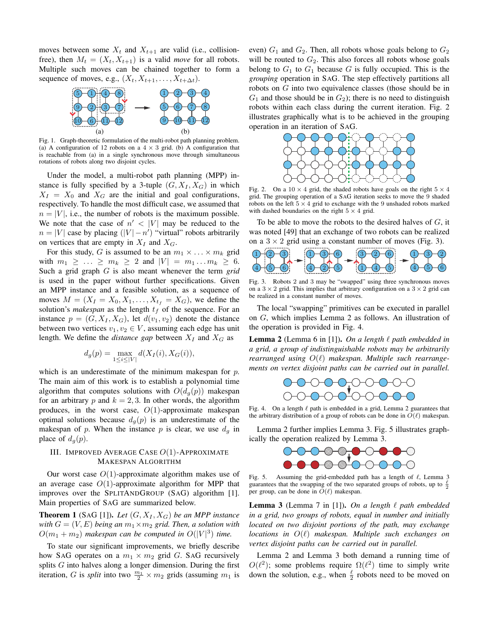moves between some  $X_t$  and  $X_{t+1}$  are valid (i.e., collisionfree), then  $M_t = (X_t, X_{t+1})$  is a valid *move* for all robots. Multiple such moves can be chained together to form a sequence of moves, e.g.,  $(X_t, X_{t+1}, \ldots, X_{t+\Delta t})$ .



Fig. 1. Graph-theoretic formulation of the multi-robot path planning problem. (a) A configuration of 12 robots on a  $4 \times 3$  grid. (b) A configuration that is reachable from (a) in a single synchronous move through simultaneous rotations of robots along two disjoint cycles.

Under the model, a multi-robot path planning (MPP) instance is fully specified by a 3-tuple  $(G, X_I, X_G)$  in which  $X_I = X_0$  and  $X_G$  are the initial and goal configurations, respectively. To handle the most difficult case, we assumed that  $n = |V|$ , i.e., the number of robots is the maximum possible. We note that the case of  $n' < |V|$  may be reduced to the  $n = |V|$  case by placing  $(|V| - n')$  "virtual" robots arbitrarily on vertices that are empty in  $X_I$  and  $X_G$ .

For this study, G is assumed to be an  $m_1 \times \ldots \times m_k$  grid with  $m_1 \geq ... \geq m_k \geq 2$  and  $|V| = m_1 ... m_k \geq 6$ . Such a grid graph G is also meant whenever the term *grid* is used in the paper without further specifications. Given an MPP instance and a feasible solution, as a sequence of moves  $M = (X_I = X_0, X_1, \ldots, X_{t_f} = X_G)$ , we define the solution's *makespan* as the length  $t_f$  of the sequence. For an instance  $p = (G, X_I, X_G)$ , let  $d(v_1, v_2)$  denote the distance between two vertices  $v_1, v_2 \in V$ , assuming each edge has unit length. We define the *distance gap* between  $X_I$  and  $X_G$  as

$$
d_g(p) = \max_{1 \le i \le |V|} d(X_I(i), X_G(i)),
$$

which is an underestimate of the minimum makespan for  $p$ . The main aim of this work is to establish a polynomial time algorithm that computes solutions with  $O(d_q(p))$  makespan for an arbitrary p and  $k = 2, 3$ . In other words, the algorithm produces, in the worst case,  $O(1)$ -approximate makespan optimal solutions because  $d_q(p)$  is an underestimate of the makespan of p. When the instance p is clear, we use  $d_q$  in place of  $d_q(p)$ .

## III. IMPROVED AVERAGE CASE  $O(1)$ -APPROXIMATE MAKESPAN ALGORITHM

Our worst case  $O(1)$ -approximate algorithm makes use of an average case  $O(1)$ -approximate algorithm for MPP that improves over the SPLITANDGROUP (SAG) algorithm [1]. Main properties of SAG are summarized below.

**Theorem 1** (SAG [1]). Let  $(G, X_I, X_G)$  be an MPP instance *with*  $G = (V, E)$  *being an*  $m_1 \times m_2$  *grid. Then, a solution with*  $O(m_1 + m_2)$  makespan can be computed in  $O(|V|^3)$  time.

To state our significant improvements, we briefly describe how SAG operates on a  $m_1 \times m_2$  grid G. SAG recursively splits  $G$  into halves along a longer dimension. During the first iteration, G is *split* into two  $\frac{m_1}{2} \times m_2$  grids (assuming  $m_1$  is even)  $G_1$  and  $G_2$ . Then, all robots whose goals belong to  $G_2$ will be routed to  $G_2$ . This also forces all robots whose goals belong to  $G_1$  to  $G_1$  because G is fully occupied. This is the *grouping* operation in SAG. The step effectively partitions all robots on G into two equivalence classes (those should be in  $G_1$  and those should be in  $G_2$ ); there is no need to distinguish robots within each class during the current iteration. Fig. 2 illustrates graphically what is to be achieved in the grouping operation in an iteration of SAG.



Fig. 2. On a  $10 \times 4$  grid, the shaded robots have goals on the right  $5 \times 4$ grid. The grouping operation of a SAG iteration seeks to move the 9 shaded robots on the left  $5 \times 4$  grid to exchange with the 9 unshaded robots marked with dashed boundaries on the right  $5 \times 4$  grid.

To be able to move the robots to the desired halves of  $G$ , it was noted [49] that an exchange of two robots can be realized on a  $3 \times 2$  grid using a constant number of moves (Fig. 3).



Fig. 3. Robots 2 and 3 may be "swapped" using three synchronous moves on a  $3 \times 2$  grid. This implies that arbitrary configuration on a  $3 \times 2$  grid can be realized in a constant number of moves.

The local "swapping" primitives can be executed in parallel on G, which implies Lemma 2 as follows. An illustration of the operation is provided in Fig. 4.

**Lemma 2** (Lemma 6 in [1]). On a length  $\ell$  path embedded in *a grid, a group of indistinguishable robots may be arbitrarily rearranged using*  $O(\ell)$  *makespan. Multiple such rearrangements on vertex disjoint paths can be carried out in parallel.*



Fig. 4. On a length  $\ell$  path is embedded in a grid, Lemma 2 guarantees that the arbitrary distribution of a group of robots can be done in  $O(\ell)$  makespan.

Lemma 2 further implies Lemma 3. Fig. 5 illustrates graphically the operation realized by Lemma 3.



Fig. 5. Assuming the grid-embedded path has a length of  $\ell$ , Lemma 3 guarantees that the swapping of the two separated groups of robots, up to  $\frac{\ell}{2}$ per group, can be done in  $O(\ell)$  makespan.

**Lemma 3** (Lemma 7 in [1]). On a length  $\ell$  path embedded *in a grid, two groups of robots, equal in number and initially located on two disjoint portions of the path, may exchange locations in*  $O(\ell)$  *makespan. Multiple such exchanges on vertex disjoint paths can be carried out in parallel.*

Lemma 2 and Lemma 3 both demand a running time of  $O(\ell^2)$ ; some problems require  $\Omega(\ell^2)$  time to simply write down the solution, e.g., when  $\frac{\ell}{2}$  robots need to be moved on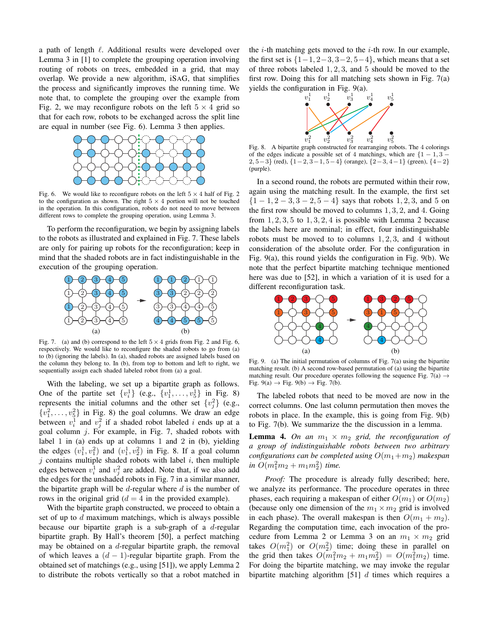a path of length  $\ell$ . Additional results were developed over Lemma 3 in [1] to complete the grouping operation involving routing of robots on trees, embedded in a grid, that may overlap. We provide a new algorithm, iSAG, that simplifies the process and significantly improves the running time. We note that, to complete the grouping over the example from Fig. 2, we may reconfigure robots on the left  $5 \times 4$  grid so that for each row, robots to be exchanged across the split line are equal in number (see Fig. 6). Lemma 3 then applies.



Fig. 6. We would like to reconfigure robots on the left  $5 \times 4$  half of Fig. 2 to the configuration as shown. The right  $5 \times 4$  portion will not be touched in the operation. In this configuration, robots do not need to move between different rows to complete the grouping operation, using Lemma 3.

To perform the reconfiguration, we begin by assigning labels to the robots as illustrated and explained in Fig. 7. These labels are only for pairing up robots for the reconfiguration; keep in mind that the shaded robots are in fact indistinguishable in the execution of the grouping operation.



Fig. 7. (a) and (b) correspond to the left  $5 \times 4$  grids from Fig. 2 and Fig. 6, respectively. We would like to reconfigure the shaded robots to go from (a) to (b) (ignoring the labels). In (a), shaded robots are assigned labels based on the column they belong to. In (b), from top to bottom and left to right, we sequentially assign each shaded labeled robot from (a) a goal.

With the labeling, we set up a bipartite graph as follows. One of the partite set  $\{v_i^1\}$  (e.g.,  $\{v_1^1, \ldots, v_5^1\}$  in Fig. 8) represents the initial columns and the other set  $\{v_j^2\}$  (e.g.,  $\{v_1^2, \ldots, v_5^2\}$  in Fig. 8) the goal columns. We draw an edge between  $v_i^1$  and  $v_j^2$  if a shaded robot labeled i ends up at a goal column j. For example, in Fig. 7, shaded robots with label 1 in (a) ends up at columns 1 and 2 in (b), yielding the edges  $(v_1^1, v_1^2)$  and  $(v_1^1, v_2^2)$  in Fig. 8. If a goal column  $j$  contains multiple shaded robots with label  $i$ , then multiple edges between  $v_i^1$  and  $v_j^2$  are added. Note that, if we also add the edges for the unshaded robots in Fig. 7 in a similar manner, the bipartite graph will be d-regular where  $d$  is the number of rows in the original grid ( $d = 4$  in the provided example).

With the bipartite graph constructed, we proceed to obtain a set of up to  $d$  maximum matchings, which is always possible because our bipartite graph is a sub-graph of a  $d$ -regular bipartite graph. By Hall's theorem [50], a perfect matching may be obtained on a  $d$ -regular bipartite graph, the removal of which leaves a  $(d - 1)$ -regular bipartite graph. From the obtained set of matchings (e.g., using [51]), we apply Lemma 2 to distribute the robots vertically so that a robot matched in the *i*-th matching gets moved to the *i*-th row. In our example, the first set is  $\{1-1, 2-3, 3-2, 5-4\}$ , which means that a set of three robots labeled 1, 2, 3, and 5 should be moved to the first row. Doing this for all matching sets shown in Fig. 7(a) yields the configuration in Fig. 9(a).



Fig. 8. A bipartite graph constructed for rearranging robots. The 4 colorings of the edges indicate a possible set of 4 matchings, which are  $\{1 - 1, 3 - \}$ 2, 5−3} (red),  $\{1-2, 3-1, 5-4\}$  (orange),  $\{2-3, 4-1\}$  (green),  $\{4-2\}$ (purple).

In a second round, the robots are permuted within their row, again using the matching result. In the example, the first set  ${1 - 1, 2 - 3, 3 - 2, 5 - 4}$  says that robots 1, 2, 3, and 5 on the first row should be moved to columns 1, 3, 2, and 4. Going from  $1, 2, 3, 5$  to  $1, 3, 2, 4$  is possible with Lemma 2 because the labels here are nominal; in effect, four indistinguishable robots must be moved to to columns  $1, 2, 3$ , and 4 without consideration of the absolute order. For the configuration in Fig. 9(a), this round yields the configuration in Fig. 9(b). We note that the perfect bipartite matching technique mentioned here was due to [52], in which a variation of it is used for a different reconfiguration task.



Fig. 9. (a) The initial permutation of columns of Fig. 7(a) using the bipartite matching result. (b) A second row-based permutation of (a) using the bipartite matching result. Our procedure operates following the sequence Fig. 7(a)  $\rightarrow$ Fig. 9(a)  $\rightarrow$  Fig. 9(b)  $\rightarrow$  Fig. 7(b).

The labeled robots that need to be moved are now in the correct columns. One last column permutation then moves the robots in place. In the example, this is going from Fig. 9(b) to Fig. 7(b). We summarize the the discussion in a lemma.

**Lemma 4.** On an  $m_1 \times m_2$  grid, the reconfiguration of *a group of indistinguishable robots between two arbitrary configurations can be completed using*  $O(m_1 + m_2)$  *makespan*  $\sin\ O(m_1^2m_2 + m_1m_2^2)$  *time.* 

*Proof:* The procedure is already fully described; here, we analyze its performance. The procedure operates in three phases, each requiring a makespan of either  $O(m_1)$  or  $O(m_2)$ (because only one dimension of the  $m_1 \times m_2$  grid is involved in each phase). The overall makespan is then  $O(m_1 + m_2)$ . Regarding the computation time, each invocation of the procedure from Lemma 2 or Lemma 3 on an  $m_1 \times m_2$  grid takes  $O(m_1^2)$  or  $O(m_2^2)$  time; doing these in parallel on the grid then takes  $O(m_1^2 m_2 + m_1 m_2^2) = O(m_1^2 m_2)$  time. For doing the bipartite matching, we may invoke the regular bipartite matching algorithm [51]  $d$  times which requires a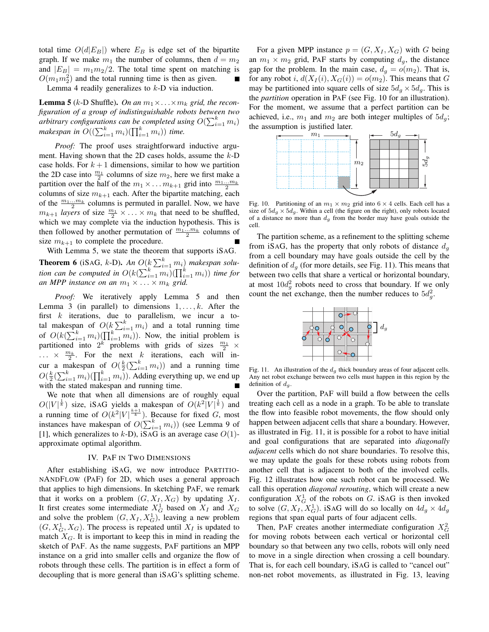total time  $O(d|E_B|)$  where  $E_B$  is edge set of the bipartite graph. If we make  $m_1$  the number of columns, then  $d = m_2$ and  $|E_B| = m_1 m_2/2$ . The total time spent on matching is  $O(m_1 m_2^2)$  and the total running time is then as given.

Lemma 4 readily generalizes to  $k$ -D via induction.

**Lemma 5** (k-D Shuffle). On an  $m_1 \times \ldots \times m_k$  grid, the recon*figuration of a group of indistinguishable robots between two* arbitrary configurations can be completed using  $O(\sum_{i=1}^k m_i)$ makespan in  $O((\sum_{i=1}^k m_i)(\prod_{i=1}^k m_i))$  time.

*Proof:* The proof uses straightforward inductive argument. Having shown that the 2D cases holds, assume the  $k$ -D case holds. For  $k+1$  dimensions, similar to how we partition the 2D case into  $\frac{m_1}{2}$  columns of size  $m_2$ , here we first make a partition over the half of the  $m_1 \times \ldots \times m_{k+1}$  grid into  $\frac{m_1 \ldots m_k}{2}$ columns of size  $m_{k+1}$  each. After the bipartite matching, each of the  $\frac{m_1...m_k}{2}$  columns is permuted in parallel. Now, we have  $m_{k+1}$  *layers* of size  $\frac{m_1}{2} \times \ldots \times m_k$  that need to be shuffled, which we may complete via the induction hypothesis. This is then followed by another permutation of  $\frac{m_1...m_k}{2}$  columns of size  $m_{k+1}$  to complete the procedure.

With Lemma 5, we state the theorem that supports iSAG. **Theorem 6** (iSAG, k-D). An  $O(k \sum_{i=1}^{k} m_i)$  makespan solu*tion can be computed in*  $O(k(\sum_{i=1}^{k} m_i)(\prod_{i=1}^{k} m_i))$  *time for an MPP instance on an*  $m_1 \times \ldots \times m_k$  *grid.* 

*Proof:* We iteratively apply Lemma 5 and then Lemma 3 (in parallel) to dimensions  $1, \ldots, k$ . After the first  $k$  iterations, due to parallelism, we incur a total makespan of  $O(k \sum_{i=1}^{k} m_i)$  and a total running time of  $O(k(\sum_{i=1}^k m_i)(\prod_{i=1}^k m_i))$ . Now, the initial problem is partitioned into  $2^k$  problems with grids of sizes  $\frac{m_1}{2}$  ×  $\ldots \times \frac{m_k}{2}$ . For the next k iterations, each will incur a makespan of  $O(\frac{k}{2}(\sum_{i=1}^k m_i))$  and a running time  $O(\frac{k}{2}(\sum_{i=1}^k m_i)(\prod_{i=1}^k m_i))$ . Adding everything up, we end up with the stated makespan and running time.

We note that when all dimensions are of roughly equal  $O(|V|^{\frac{1}{k}})$  size, iSAG yields a makespan of  $O(k^2|V|^{\frac{1}{k}})$  and a running time of  $O(k^2|V|^{\frac{k+1}{k}})$ . Because for fixed G, most instances have makespan of  $O(\sum_{i=1}^{k} m_i)$ ) (see Lemma 9 of [1], which generalizes to  $k$ -D), iSAG is an average case  $O(1)$ approximate optimal algorithm.

#### IV. PAF IN TWO DIMENSIONS

After establishing iSAG, we now introduce PARTITIO-NANDFLOW (PAF) for 2D, which uses a general approach that applies to high dimensions. In sketching PAF, we remark that it works on a problem  $(G, X_I, X_G)$  by updating  $X_I$ . It first creates some intermediate  $X_G^1$  based on  $X_I$  and  $X_G$ and solve the problem  $(G, X_I, X_G^1)$ , leaving a new problem  $(G, X_G^1, X_G)$ . The process is repeated until  $X_I$  is updated to match  $X_G$ . It is important to keep this in mind in reading the sketch of PAF. As the name suggests, PAF partitions an MPP instance on a grid into smaller cells and organize the flow of robots through these cells. The partition is in effect a form of decoupling that is more general than iSAG's splitting scheme.

For a given MPP instance  $p = (G, X_I, X_G)$  with G being an  $m_1 \times m_2$  grid, PAF starts by computing  $d_g$ , the distance gap for the problem. In the main case,  $d_q = o(m_2)$ . That is, for any robot i,  $d(X_I(i), X_G(i)) = o(m_2)$ . This means that G may be partitioned into square cells of size  $5d_q \times 5d_q$ . This is the *partition* operation in PAF (see Fig. 10 for an illustration). For the moment, we assume that a perfect partition can be achieved, i.e.,  $m_1$  and  $m_2$  are both integer multiples of  $5d_q$ ; the assumption is justified later.



Fig. 10. Partitioning of an  $m_1 \times m_2$  grid into  $6 \times 4$  cells. Each cell has a size of  $5d_g \times 5d_g$ . Within a cell (the figure on the right), only robots located of a distance no more than  $d_g$  from the border may have goals outside the cell.

The partition scheme, as a refinement to the splitting scheme from iSAG, has the property that only robots of distance  $d_q$ from a cell boundary may have goals outside the cell by the definition of  $d_g$  (for more details, see Fig. 11). This means that between two cells that share a vertical or horizontal boundary, at most  $10d_g^2$  robots need to cross that boundary. If we only count the net exchange, then the number reduces to  $5d_g^2$ .



Fig. 11. An illustration of the  $d_q$  thick boundary areas of four adjacent cells. Any net robot exchange between two cells must happen in this region by the definition of  $d_g$ .

Over the partition, PAF will build a flow between the cells treating each cell as a node in a graph. To be able to translate the flow into feasible robot movements, the flow should only happen between adjacent cells that share a boundary. However, as illustrated in Fig. 11, it is possible for a robot to have initial and goal configurations that are separated into *diagonally adjacent* cells which do not share boundaries. To resolve this, we may update the goals for these robots using robots from another cell that is adjacent to both of the involved cells. Fig. 12 illustrates how one such robot can be processed. We call this operation *diagonal rerouting*, which will create a new configuration  $X_G^1$  of the robots on G. iSAG is then invoked to solve  $(G, X_I, X_G^1)$ . iSAG will do so locally on  $4d_g \times 4d_g$ regions that span equal parts of four adjacent cells.

Then, PAF creates another intermediate configuration  $X_G^2$ for moving robots between each vertical or horizontal cell boundary so that between any two cells, robots will only need to move in a single direction when crossing a cell boundary. That is, for each cell boundary, iSAG is called to "cancel out" non-net robot movements, as illustrated in Fig. 13, leaving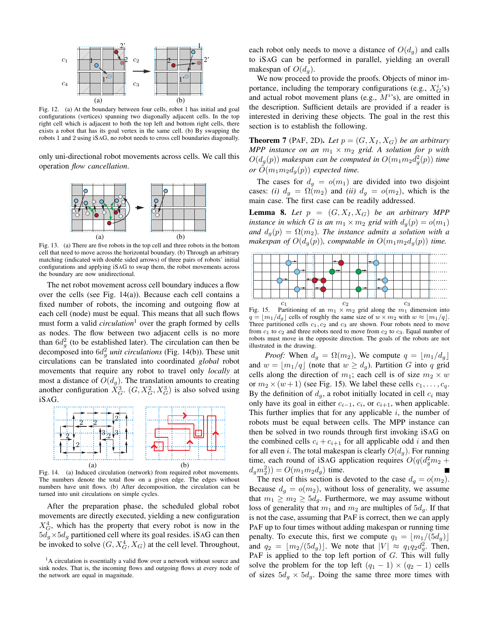

Fig. 12. (a) At the boundary between four cells, robot 1 has initial and goal configurations (vertices) spanning two diagonally adjacent cells. In the top right cell which is adjacent to both the top left and bottom right cells, there exists a robot that has its goal vertex in the same cell. (b) By swapping the robots 1 and 2 using iSAG, no robot needs to cross cell boundaries diagonally.

only uni-directional robot movements across cells. We call this operation *flow cancellation*.



Fig. 13. (a) There are five robots in the top cell and three robots in the bottom cell that need to move across the horizontal boundary. (b) Through an arbitrary matching (indicated with double sided arrows) of three pairs of robots' initial configurations and applying iSAG to swap them, the robot movements across the boundary are now unidirectional.

The net robot movement across cell boundary induces a flow over the cells (see Fig. 14(a)). Because each cell contains a fixed number of robots, the incoming and outgoing flow at each cell (node) must be equal. This means that all such flows must form a valid *circulation*<sup>1</sup> over the graph formed by cells as nodes. The flow between two adjacent cells is no more than  $6d_g^2$  (to be established later). The circulation can then be decomposed into  $6d_g^2$  *unit circulations* (Fig. 14(b)). These unit circulations can be translated into coordinated *global* robot movements that require any robot to travel only *locally* at most a distance of  $O(d_q)$ . The translation amounts to creating another configuration  $\bar{X}_G^3$ .  $(G, X_G^2, X_G^3)$  is also solved using iSAG.



Fig. 14. (a) Induced circulation (network) from required robot movements. The numbers denote the total flow on a given edge. The edges without numbers have unit flows. (b) After decomposition, the circulation can be turned into unit circulations on simple cycles.

After the preparation phase, the scheduled global robot movements are directly executed, yielding a new configuration  $X_G^4$ , which has the property that every robot is now in the  $5d_g \times 5d_g$  partitioned cell where its goal resides. iSAG can then be invoked to solve  $(G, X_G^4, X_G)$  at the cell level. Throughout,

each robot only needs to move a distance of  $O(d_q)$  and calls to iSAG can be performed in parallel, yielding an overall makespan of  $O(d_a)$ .

We now proceed to provide the proofs. Objects of minor importance, including the temporary configurations (e.g.,  $X_G^i$ 's) and actual robot movement plans (e.g.,  $M^{i}$ s), are omitted in the description. Sufficient details are provided if a reader is interested in deriving these objects. The goal in the rest this section is to establish the following.

**Theorem 7** (PAF, 2D). Let  $p = (G, X_I, X_G)$  be an arbitrary *MPP instance on an*  $m_1 \times m_2$  *grid. A solution for* p *with*  $O(d_g(p))$  makespan can be computed in  $O(m_1m_2d_g^2(p))$  time *or*  $O(m_1m_2d_q(p))$  *expected time.* 

The cases for  $d_q = o(m_1)$  are divided into two disjoint cases: *(i)*  $d_g = \Omega(m_2)$  and *(ii)*  $d_g = o(m_2)$ , which is the main case. The first case can be readily addressed.

**Lemma 8.** Let  $p = (G, X_I, X_G)$  be an arbitrary MPP *instance in which* G *is an*  $m_1 \times m_2$  *grid with*  $d_q(p) = o(m_1)$ *and*  $d_q(p) = \Omega(m_2)$ *. The instance admits a solution with a makespan of*  $O(d_q(p))$ *, computable in*  $O(m_1m_2d_q(p))$  *time.* 



Fig. 15. Partitioning of an  $m_1 \times m_2$  grid along the  $m_1$  dimension into  $q = |m_1/d_q|$  cells of roughly the same size of  $w \times m_2$  with  $w \approx |m_1/q|$ . Three partitioned cells  $c_1, c_2$  and  $c_3$  are shown. Four robots need to move from  $c_1$  to  $c_2$  and three robots need to move from  $c_2$  to  $c_3$ . Equal number of robots must move in the opposite direction. The goals of the robots are not illustrated in the drawing.

*Proof:* When  $d_q = \Omega(m_2)$ , We compute  $q = |m_1/d_q|$ and  $w = |m_1/q|$  (note that  $w \geq d_q$ ). Partition G into q grid cells along the direction of  $m_1$ ; each cell is of size  $m_2 \times w$ or  $m_2 \times (w + 1)$  (see Fig. 15). We label these cells  $c_1, \ldots, c_q$ . By the definition of  $d_q$ , a robot initially located in cell  $c_i$  may only have its goal in either  $c_{i-1}$ ,  $c_i$ , or  $c_{i+1}$ , when applicable. This further implies that for any applicable  $i$ , the number of robots must be equal between cells. The MPP instance can then be solved in two rounds through first invoking iSAG on the combined cells  $c_i + c_{i+1}$  for all applicable odd i and then for all even *i*. The total makespan is clearly  $O(d_g)$ . For running time, each round of iSAG application requires  $O(q(d_g^2m_2 +$  $(d_g m_2^2)$ ) =  $O(m_1 m_2 d_g)$  time.

The rest of this section is devoted to the case  $d_q = o(m_2)$ . Because  $d_g = o(m_2)$ , without loss of generality, we assume that  $m_1 \geq m_2 \geq 5d_g$ . Furthermore, we may assume without loss of generality that  $m_1$  and  $m_2$  are multiples of  $5d_g$ . If that is not the case, assuming that PAF is correct, then we can apply PAF up to four times without adding makespan or running time penalty. To execute this, first we compute  $q_1 = |m_1/(5d_q)|$ and  $q_2 = \lfloor m_2/(5d_g) \rfloor$ . We note that  $|V| \approx q_1 q_2 d_g^2$ . Then, PAF is applied to the top left portion of G. This will fully solve the problem for the top left  $(q_1 - 1) \times (q_2 - 1)$  cells of sizes  $5d_g \times 5d_g$ . Doing the same three more times with

 $<sup>1</sup>A$  circulation is essentially a valid flow over a network without source and</sup> sink nodes. That is, the incoming flows and outgoing flows at every node of the network are equal in magnitude.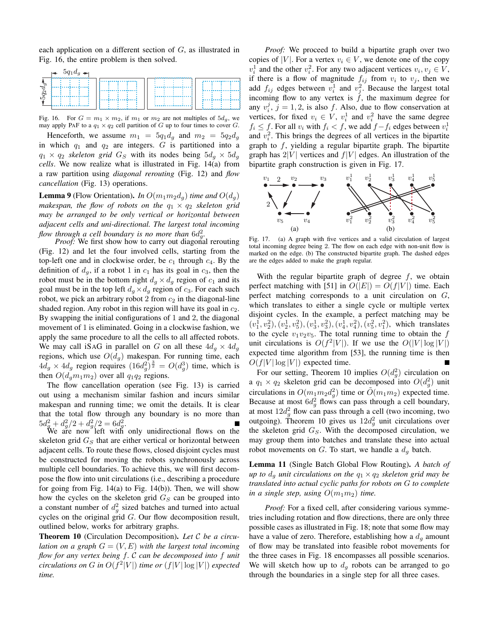each application on a different section of G, as illustrated in Fig. 16, the entire problem is then solved.

|       | $\rightarrow$ 5 $q_1d_g$ $\rightarrow$ |  |  |
|-------|----------------------------------------|--|--|
| $l_g$ |                                        |  |  |
| spi   |                                        |  |  |
|       |                                        |  |  |

Fig. 16. For  $G = m_1 \times m_2$ , if  $m_1$  or  $m_2$  are not multiples of  $5d_g$ , we may apply PAF to a  $q_1 \times q_2$  cell partition of G up to four times to cover G.

Henceforth, we assume  $m_1 = 5q_1d_g$  and  $m_2 = 5q_2d_g$ in which  $q_1$  and  $q_2$  are integers. G is partitioned into a  $q_1 \times q_2$  *skeleton grid*  $G_S$  with its nodes being  $5d_q \times 5d_q$ *cells*. We now realize what is illustrated in Fig. 14(a) from a raw partition using *diagonal rerouting* (Fig. 12) and *flow cancellation* (Fig. 13) operations.

**Lemma 9** (Flow Orientation). *In*  $O(m_1 m_2 d_q)$  *time and*  $O(d_q)$ *makespan, the flow of robots on the*  $q_1 \times q_2$  *skeleton grid may be arranged to be only vertical or horizontal between adjacent cells and uni-directional. The largest total incoming* flow through a cell boundary is no more than  $6d_g^2$ .

*Proof:* We first show how to carry out diagonal rerouting (Fig. 12) and let the four involved cells, starting from the top-left one and in clockwise order, be  $c_1$  through  $c_4$ . By the definition of  $d_g$ , if a robot 1 in  $c_1$  has its goal in  $c_3$ , then the robot must be in the bottom right  $d_g \times d_g$  region of  $c_1$  and its goal must be in the top left  $d_q \times d_q$  region of  $c_3$ . For each such robot, we pick an arbitrary robot 2 from  $c_2$  in the diagonal-line shaded region. Any robot in this region will have its goal in  $c_2$ . By swapping the initial configurations of 1 and 2, the diagonal movement of 1 is eliminated. Going in a clockwise fashion, we apply the same procedure to all the cells to all affected robots. We may call iSAG in parallel on G on all these  $4d_q \times 4d_q$ regions, which use  $O(d_q)$  makespan. For running time, each  $4d_g \times 4d_g$  region requires  $(16d_g^2)^{\frac{3}{2}} = O(d_g^3)$  time, which is then  $O(d_qm_1m_2)$  over all  $q_1q_2$  regions.

The flow cancellation operation (see Fig. 13) is carried out using a mechanism similar fashion and incurs similar makespan and running time; we omit the details. It is clear that the total flow through any boundary is no more than  $5d_g^2 + d_g^2/2 + d_g^2/2 = 6d_g^2.$ 

We are now left with only unidirectional flows on the skeleton grid  $G_S$  that are either vertical or horizontal between adjacent cells. To route these flows, closed disjoint cycles must be constructed for moving the robots synchronously across multiple cell boundaries. To achieve this, we will first decompose the flow into unit circulations (i.e., describing a procedure for going from Fig.  $14(a)$  to Fig.  $14(b)$ ). Then, we will show how the cycles on the skeleton grid  $G_S$  can be grouped into a constant number of  $d_g^2$  sized batches and turned into actual cycles on the original grid G. Our flow decomposition result, outlined below, works for arbitrary graphs.

Theorem 10 (Circulation Decomposition). *Let* C *be a circulation on a graph*  $G = (V, E)$  *with the largest total incoming flow for any vertex being* f*.* C *can be decomposed into* f *unit circulations on G in*  $O(f^2|V|)$  *time or*  $(f|V| \log |V|)$  *expected time.*

*Proof:* We proceed to build a bipartite graph over two copies of |V|. For a vertex  $v_i \in V$ , we denote one of the copy  $v_i^1$  and the other  $v_i^2$ . For any two adjacent vertices  $v_i, v_j \in V$ , if there is a flow of magnitude  $f_{ij}$  from  $v_i$  to  $v_j$ , then we add  $f_{ij}$  edges between  $v_i^1$  and  $v_j^2$ . Because the largest total incoming flow to any vertex is  $f$ , the maximum degree for any  $v_i^j$ ,  $j = 1, 2$ , is also f. Also, due to flow conservation at vertices, for fixed  $v_i \in V$ ,  $v_i^1$  and  $v_i^2$  have the same degree  $f_i \leq f$ . For all  $v_i$  with  $f_i < f$ , we add  $f - f_i$  edges between  $v_i^1$ and  $v_i^2$ . This brings the degrees of all vertices in the bipartite graph to  $f$ , yielding a regular bipartite graph. The bipartite graph has  $2|V|$  vertices and  $f|V|$  edges. An illustration of the bipartite graph construction is given in Fig. 17.



Fig. 17. (a) A graph with five vertices and a valid circulation of largest total incoming degree being 2. The flow on each edge with non-unit flow is marked on the edge. (b) The constructed bipartite graph. The dashed edges are the edges added to make the graph regular.

With the regular bipartite graph of degree  $f$ , we obtain perfect matching with [51] in  $O(|E|) = O(f|V|)$  time. Each perfect matching corresponds to a unit circulation on G, which translates to either a single cycle or multiple vertex disjoint cycles. In the example, a perfect matching may be  $(v_1^1, v_2^2), (v_2^1, v_5^2), (v_3^1, v_3^2), (v_4^1, v_4^2), (v_5^2, v_1^2)$ , which translates to the cycle  $v_1v_2v_5$ . The total running time to obtain the f unit circulations is  $O(f^2|V|)$ . If we use the  $O(|V| \log |V|)$ expected time algorithm from [53], the running time is then  $O(f|V| \log |V|)$  expected time.

For our setting, Theorem 10 implies  $O(d_g^2)$  circulation on a  $q_1 \times q_2$  skeleton grid can be decomposed into  $O(d_g^2)$  unit circulations in  $O(m_1m_2d_g^2)$  time or  $\tilde{O}(m_1m_2)$  expected time. Because at most  $6d_g^2$  flows can pass through a cell boundary, at most  $12d_g^2$  flow can pass through a cell (two incoming, two outgoing). Theorem 10 gives us  $12d_g^2$  unit circulations over the skeleton grid  $G_S$ . With the decomposed circulation, we may group them into batches and translate these into actual robot movements on  $G$ . To start, we handle a  $d_q$  batch.

Lemma 11 (Single Batch Global Flow Routing). *A batch of up to*  $d_q$  *unit circulations on the*  $q_1 \times q_2$  *skeleton grid may be translated into actual cyclic paths for robots on* G *to complete in a single step, using*  $O(m_1m_2)$  *time.* 

*Proof:* For a fixed cell, after considering various symmetries including rotation and flow directions, there are only three possible cases as illustrated in Fig. 18; note that some flow may have a value of zero. Therefore, establishing how a  $d<sub>q</sub>$  amount of flow may be translated into feasible robot movements for the three cases in Fig. 18 encompasses all possible scenarios. We will sketch how up to  $d_g$  robots can be arranged to go through the boundaries in a single step for all three cases.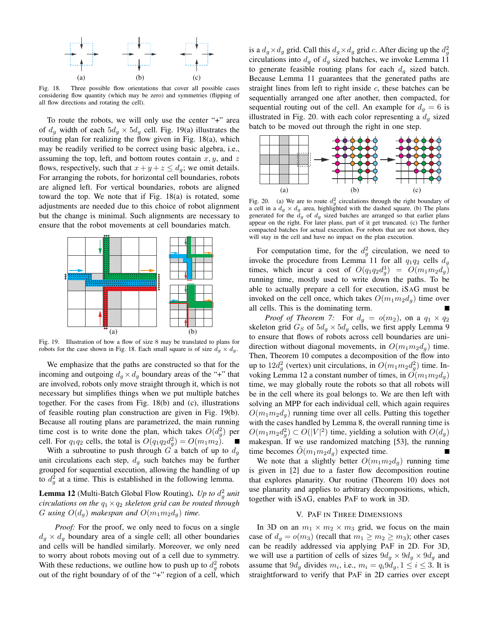

Fig. 18. Three possible flow orientations that cover all possible cases considering flow quantity (which may be zero) and symmetries (flipping of all flow directions and rotating the cell).

To route the robots, we will only use the center "+" area of  $d_g$  width of each  $5d_g \times 5d_g$  cell. Fig. 19(a) illustrates the routing plan for realizing the flow given in Fig. 18(a), which may be readily verified to be correct using basic algebra, i.e., assuming the top, left, and bottom routes contain  $x, y$ , and  $z$ flows, respectively, such that  $x + y + z \le d_g$ ; we omit details. For arranging the robots, for horizontal cell boundaries, robots are aligned left. For vertical boundaries, robots are aligned toward the top. We note that if Fig. 18(a) is rotated, some adjustments are needed due to this choice of robot alignment but the change is minimal. Such alignments are necessary to ensure that the robot movements at cell boundaries match.



Fig. 19. Illustration of how a flow of size 8 may be translated to plans for robots for the case shown in Fig. 18. Each small square is of size  $d_g \times d_g$ .

We emphasize that the paths are constructed so that for the incoming and outgoing  $d_g \times d_g$  boundary areas of the "+" that are involved, robots only move straight through it, which is not necessary but simplifies things when we put multiple batches together. For the cases from Fig. 18(b) and (c), illustrations of feasible routing plan construction are given in Fig. 19(b). Because all routing plans are parametrized, the main running time cost is to write done the plan, which takes  $O(d_g^2)$  per cell. For  $q_1q_2$  cells, the total is  $O(q_1q_2d_g^2) = O(m_1m_2)$ .  $\blacksquare$ 

With a subroutine to push through G a batch of up to  $d_g$ unit circulations each step,  $d_q$  such batches may be further grouped for sequential execution, allowing the handling of up to  $d_g^2$  at a time. This is established in the following lemma.

Lemma 12 (Multi-Batch Global Flow Routing). *Up to*  $d_g^2$  *unit circulations on the*  $q_1 \times q_2$  *skeleton grid can be routed through* G using  $O(d_q)$  makespan and  $O(m_1m_2d_q)$  time.

*Proof:* For the proof, we only need to focus on a single  $d_g \times d_g$  boundary area of a single cell; all other boundaries and cells will be handled similarly. Moreover, we only need to worry about robots moving out of a cell due to symmetry. With these reductions, we outline how to push up to  $d_g^2$  robots out of the right boundary of of the "+" region of a cell, which

is a  $d_g \times d_g$  grid. Call this  $d_g \times d_g$  grid c. After dicing up the  $d_g^2$ circulations into  $d_g$  of  $d_g$  sized batches, we invoke Lemma 11 to generate feasible routing plans for each  $d<sub>g</sub>$  sized batch. Because Lemma 11 guarantees that the generated paths are straight lines from left to right inside  $c$ , these batches can be sequentially arranged one after another, then compacted, for sequential routing out of the cell. An example for  $d_g = 6$  is illustrated in Fig. 20. with each color representing a  $d_g$  sized batch to be moved out through the right in one step.



Fig. 20. (a) We are to route  $d_g^2$  circulations through the right boundary of a cell in a  $d_g \times d_g$  area, highlighted with the dashed square. (b) The plans generated for the  $d_g$  of  $d_g$  sized batches are arranged so that earlier plans appear on the right. For later plans, part of it get truncated. (c) The further compacted batches for actual execution. For robots that are not shown, they will stay in the cell and have no impact on the plan execution.

For computation time, for the  $d_g^2$  circulation, we need to invoke the procedure from Lemma 11 for all  $q_1q_2$  cells  $d_q$ times, which incur a cost of  $O(q_1q_2d_g^3) = O(m_1m_2d_g)$ running time, mostly used to write down the paths. To be able to actually prepare a cell for execution, iSAG must be invoked on the cell once, which takes  $O(m_1m_2d_q)$  time over all cells. This is the dominating term.

*Proof of Theorem 7:* For  $d_g = o(m_2)$ , on a  $q_1 \times q_2$ skeleton grid  $G_S$  of  $5d_g \times 5d_g$  cells, we first apply Lemma 9 to ensure that flows of robots across cell boundaries are unidirection without diagonal movements, in  $O(m_1m_2d_q)$  time. Then, Theorem 10 computes a decomposition of the flow into up to  $12d_g^2$  (vertex) unit circulations, in  $O(m_1m_2d_g^2)$  time. Invoking Lemma 12 a constant number of times, in  $O(m_1m_2d_q)$ time, we may globally route the robots so that all robots will be in the cell where its goal belongs to. We are then left with solving an MPP for each individual cell, which again requires  $O(m_1m_2d_q)$  running time over all cells. Putting this together with the cases handled by Lemma 8, the overall running time is  $O(m_1 m_2 d_g^2) \subset O(|V|^2)$  time, yielding a solution with  $O(d_g)$ makespan. If we use randomized matching [53], the running time becomes  $\tilde{O}(m_1m_2d_q)$  expected time.

We note that a slightly better  $O(m_1m_2d_q)$  running time is given in [2] due to a faster flow decomposition routine that explores planarity. Our routine (Theorem 10) does not use planarity and applies to arbitrary decompositions, which, together with iSAG, enables PAF to work in 3D.

#### V. PAF IN THREE DIMENSIONS

In 3D on an  $m_1 \times m_2 \times m_3$  grid, we focus on the main case of  $d_g = o(m_3)$  (recall that  $m_1 \ge m_2 \ge m_3$ ); other cases can be readily addressed via applying PAF in 2D. For 3D, we will use a partition of cells of sizes  $9d_g \times 9d_g \times 9d_g$  and assume that  $9d_g$  divides  $m_i$ , i.e.,  $m_i = q_i 9d_g$ ,  $1 \le i \le 3$ . It is straightforward to verify that PAF in 2D carries over except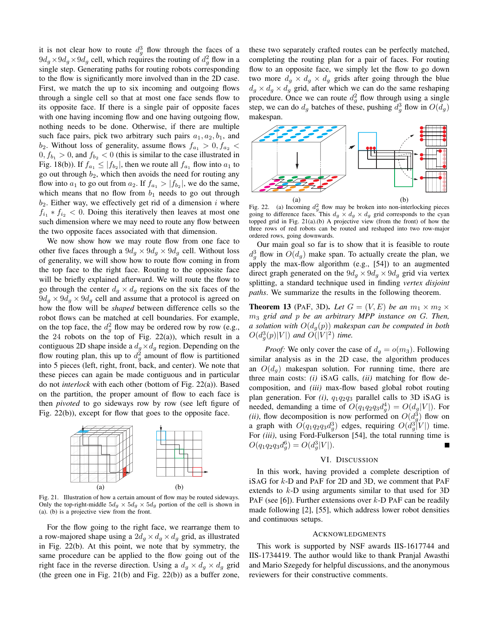it is not clear how to route  $d_g^3$  flow through the faces of a  $9d_g \times 9d_g \times 9d_g$  cell, which requires the routing of  $d_g^2$  flow in a single step. Generating paths for routing robots corresponding to the flow is significantly more involved than in the 2D case. First, we match the up to six incoming and outgoing flows through a single cell so that at most one face sends flow to its opposite face. If there is a single pair of opposite faces with one having incoming flow and one having outgoing flow, nothing needs to be done. Otherwise, if there are multiple such face pairs, pick two arbitrary such pairs  $a_1, a_2, b_1$ , and  $b_2$ . Without loss of generality, assume flows  $f_{a_1} > 0, f_{a_2} <$  $0, f_{b_1} > 0$ , and  $f_{b_2} < 0$  (this is similar to the case illustrated in Fig. 18(b)). If  $f_{a_1} \leq |f_{b_2}|$ , then we route all  $f_{a_1}$  flow into  $a_1$  to go out through  $b_2$ , which then avoids the need for routing any flow into  $a_1$  to go out from  $a_2$ . If  $f_{a_1} > |f_{b_2}|$ , we do the same, which means that no flow from  $b_1$  needs to go out through  $b_2$ . Either way, we effectively get rid of a dimension i where  $f_{i_1} * f_{i_2} < 0$ . Doing this iteratively then leaves at most one such dimension where we may need to route any flow between the two opposite faces associated with that dimension.

We now show how we may route flow from one face to other five faces through a  $9d_g \times 9d_g \times 9d_g$  cell. Without loss of generality, we will show how to route flow coming in from the top face to the right face. Routing to the opposite face will be briefly explained afterward. We will route the flow to go through the center  $d_g \times d_g$  regions on the six faces of the  $9d_g \times 9d_g \times 9d_g$  cell and assume that a protocol is agreed on how the flow will be *shaped* between difference cells so the robot flows can be matched at cell boundaries. For example, on the top face, the  $d_g^2$  flow may be ordered row by row (e.g., the 24 robots on the top of Fig. 22(a)), which result in a contiguous 2D shape inside a  $d_q \times d_q$  region. Depending on the flow routing plan, this up to  $d_g^2$  amount of flow is partitioned into 5 pieces (left, right, front, back, and center). We note that these pieces can again be made contiguous and in particular do not *interlock* with each other (bottom of Fig. 22(a)). Based on the partition, the proper amount of flow to each face is then *pivoted* to go sideways row by row (see left figure of Fig. 22(b)), except for flow that goes to the opposite face.



Fig. 21. Illustration of how a certain amount of flow may be routed sideways. Only the top-right-middle  $5d_g \times 5d_g \times 5d_g$  portion of the cell is shown in (a). (b) is a projective view from the front.

For the flow going to the right face, we rearrange them to a row-majored shape using a  $2d_g \times d_g \times d_g$  grid, as illustrated in Fig. 22(b). At this point, we note that by symmetry, the same procedure can be applied to the flow going out of the right face in the reverse direction. Using a  $d_g \times d_g \times d_g$  grid (the green one in Fig. 21(b) and Fig. 22(b)) as a buffer zone, these two separately crafted routes can be perfectly matched, completing the routing plan for a pair of faces. For routing flow to an opposite face, we simply let the flow to go down two more  $d_g \times d_g \times d_g$  grids after going through the blue  $d_g \times d_g \times d_g$  grid, after which we can do the same reshaping procedure. Once we can route  $d_g^2$  flow through using a single step, we can do  $d_g$  batches of these, pushing  $d_g^3$  flow in  $O(d_g)$ makespan.



Fig. 22. (a) Incoming  $d_g^2$  flow may be broken into non-interlocking pieces going to difference faces. This  $d_g \times d_g \times d_g$  grid corresponds to the cyan topped grid in Fig. 21(a).(b) A projective view (from the front) of how the three rows of red robots can be routed and reshaped into two row-major ordered rows, going downwards.

Our main goal so far is to show that it is feasible to route  $d_g^3$  flow in  $O(d_g)$  make span. To actually create the plan, we apply the max-flow algorithm (e.g., [54]) to an augmented direct graph generated on the  $9d_q \times 9d_q \times 9d_q$  grid via vertex splitting, a standard technique used in finding *vertex disjoint paths*. We summarize the results in the following theorem.

**Theorem 13** (PAF, 3D). Let  $G = (V, E)$  be an  $m_1 \times m_2 \times$ m<sup>3</sup> *grid and* p *be an arbitrary MPP instance on* G*. Then, a solution with*  $O(d_q(p))$  *makespan can be computed in both*  $O(d_g^3(p)|V|)$  and  $O(|V|^2)$  time.

*Proof:* We only cover the case of  $d_q = o(m_3)$ . Following similar analysis as in the 2D case, the algorithm produces an  $O(d_a)$  makespan solution. For running time, there are three main costs: *(i)* iSAG calls, *(ii)* matching for flow decomposition, and *(iii)* max-flow based global robot routing plan generation. For  $(i)$ ,  $q_1q_2q_3$  parallel calls to 3D iSAG is needed, demanding a time of  $O(q_1q_2q_3d_g^4) = O(d_g|V|)$ . For (*ii*), flow decomposition is now performed on  $O(d_g^3)$  flow on a graph with  $O(q_1q_2q_3d_g^3)$  edges, requiring  $O(d_g^3|V|)$  time. For *(iii)*, using Ford-Fulkerson [54], the total running time is  $O(q_1q_2q_3d_g^6) = O(d_g^3|V|).$ 

#### VI. DISCUSSION

In this work, having provided a complete description of iSAG for k-D and PAF for 2D and 3D, we comment that PAF extends to  $k$ -D using arguments similar to that used for 3D PAF (see [6]). Further extensions over  $k$ -D PAF can be readily made following [2], [55], which address lower robot densities and continuous setups.

### ACKNOWLEDGMENTS

This work is supported by NSF awards IIS-1617744 and IIS-1734419. The author would like to thank Pranjal Awasthi and Mario Szegedy for helpful discussions, and the anonymous reviewers for their constructive comments.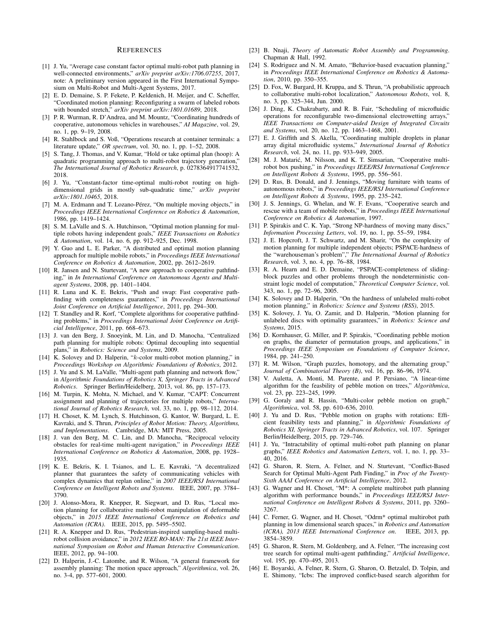#### REFERENCES

- [1] J. Yu, "Average case constant factor optimal multi-robot path planning in well-connected environments," *arXiv preprint arXiv:1706.07255*, 2017, note: A preliminary version appeared in the First International Symposium on Multi-Robot and Multi-Agent Systems, 2017.
- [2] E. D. Demaine, S. P. Fekete, P. Keldenich, H. Meijer, and C. Scheffer, "Coordinated motion planning: Reconfiguring a swarm of labeled robots with bounded stretch," *arXiv preprint arXiv:1801.01689*, 2018.
- [3] P. R. Wurman, R. D'Andrea, and M. Mountz, "Coordinating hundreds of cooperative, autonomous vehicles in warehouses," *AI Magazine*, vol. 29, no. 1, pp. 9–19, 2008.
- [4] R. Stahlbock and S. Voß, "Operations research at container terminals: a literature update," *OR spectrum*, vol. 30, no. 1, pp. 1–52, 2008.
- [5] S. Tang, J. Thomas, and V. Kumar, "Hold or take optimal plan (hoop): A quadratic programming approach to multi-robot trajectory generation," *The International Journal of Robotics Research*, p. 0278364917741532, 2018.
- [6] J. Yu, "Constant-factor time-optimal multi-robot routing on highdimensional grids in mostly sub-quadratic time," *arXiv preprint arXiv:1801.10465*, 2018.
- [7] M. A. Erdmann and T. Lozano-Pérez, "On multiple moving objects," in *Proceedings IEEE International Conference on Robotics & Automation*, 1986, pp. 1419–1424.
- [8] S. M. LaValle and S. A. Hutchinson, "Optimal motion planning for multiple robots having independent goals," *IEEE Transactions on Robotics & Automation*, vol. 14, no. 6, pp. 912–925, Dec. 1998.
- [9] Y. Guo and L. E. Parker, "A distributed and optimal motion planning approach for multiple mobile robots," in *Proceedings IEEE International Conference on Robotics & Automation*, 2002, pp. 2612–2619.
- [10] R. Jansen and N. Sturtevant, "A new approach to cooperative pathfinding," in *In International Conference on Autonomous Agents and Multiagent Systems*, 2008, pp. 1401–1404.
- [11] R. Luna and K. E. Bekris, "Push and swap: Fast cooperative pathfinding with completeness guarantees," in *Proceedings International Joint Conference on Artificial Intelligence*, 2011, pp. 294–300.
- [12] T. Standley and R. Korf, "Complete algorithms for cooperative pathfinding problems," in *Proceedings International Joint Conference on Artificial Intelligence*, 2011, pp. 668–673.
- [13] J. van den Berg, J. Snoeyink, M. Lin, and D. Manocha, "Centralized path planning for multiple robots: Optimal decoupling into sequential plans," in *Robotics: Science and Systems*, 2009.
- [14] K. Solovey and D. Halperin, "k-color multi-robot motion planning," in *Proceedings Workshop on Algorithmic Foundations of Robotics*, 2012.
- [15] J. Yu and S. M. LaValle, "Multi-agent path planning and network flow," in *Algorithmic Foundations of Robotics X, Springer Tracts in Advanced Robotics*. Springer Berlin/Heidelberg, 2013, vol. 86, pp. 157–173.
- [16] M. Turpin, K. Mohta, N. Michael, and V. Kumar, "CAPT: Concurrent assignment and planning of trajectories for multiple robots," *International Journal of Robotics Research*, vol. 33, no. 1, pp. 98–112, 2014.
- [17] H. Choset, K. M. Lynch, S. Hutchinson, G. Kantor, W. Burgard, L. E. Kavraki, and S. Thrun, *Principles of Robot Motion: Theory, Algorithms, and Implementations*. Cambridge, MA: MIT Press, 2005.
- [18] J. van den Berg, M. C. Lin, and D. Manocha, "Reciprocal velocity obstacles for real-time multi-agent navigation," in *Proceedings IEEE International Conference on Robotics & Automation*, 2008, pp. 1928– 1935.
- [19] K. E. Bekris, K. I. Tsianos, and L. E. Kavraki, "A decentralized planner that guarantees the safety of communicating vehicles with complex dynamics that replan online," in *2007 IEEE/RSJ International Conference on Intelligent Robots and Systems*. IEEE, 2007, pp. 3784– 3790.
- [20] J. Alonso-Mora, R. Knepper, R. Siegwart, and D. Rus, "Local motion planning for collaborative multi-robot manipulation of deformable objects," in *2015 IEEE International Conference on Robotics and Automation (ICRA)*. IEEE, 2015, pp. 5495–5502.
- [21] R. A. Knepper and D. Rus, "Pedestrian-inspired sampling-based multirobot collision avoidance," in *2012 IEEE RO-MAN: The 21st IEEE International Symposium on Robot and Human Interactive Communication*. IEEE, 2012, pp. 94–100.
- [22] D. Halperin, J.-C. Latombe, and R. Wilson, "A general framework for assembly planning: The motion space approach," *Algorithmica*, vol. 26, no. 3-4, pp. 577–601, 2000.
- [23] B. Nnaji, *Theory of Automatic Robot Assembly and Programming*. Chapman & Hall, 1992.
- [24] S. Rodriguez and N. M. Amato, "Behavior-based evacuation planning," in *Proceedings IEEE International Conference on Robotics & Automation*, 2010, pp. 350–355.
- [25] D. Fox, W. Burgard, H. Kruppa, and S. Thrun, "A probabilistic approach to collaborative multi-robot localization," *Autonomous Robots*, vol. 8, no. 3, pp. 325–344, Jun. 2000.
- [26] J. Ding, K. Chakrabarty, and R. B. Fair, "Scheduling of microfluidic operations for reconfigurable two-dimensional electrowetting arrays," *IEEE Transactions on Computer-aided Design of Integrated Circuits and Systems*, vol. 20, no. 12, pp. 1463–1468, 2001.
- [27] E. J. Griffith and S. Akella, "Coordinating multiple droplets in planar array digital microfluidic systems," *International Journal of Robotics Research*, vol. 24, no. 11, pp. 933–949, 2005.
- [28] M. J. Matarić, M. Nilsson, and K. T. Simsarian, "Cooperative multirobot box pushing," in *Proceedings IEEE/RSJ International Conference on Intelligent Robots & Systems*, 1995, pp. 556–561.
- [29] D. Rus, B. Donald, and J. Jennings, "Moving furniture with teams of autonomous robots," in *Proceedings IEEE/RSJ International Conference on Intelligent Robots & Systems*, 1995, pp. 235–242.
- [30] J. S. Jennings, G. Whelan, and W. F. Evans, "Cooperative search and rescue with a team of mobile robots," in *Proceedings IEEE International Conference on Robotics & Automation*, 1997.
- [31] P. Spirakis and C. K. Yap, "Strong NP-hardness of moving many discs," *Information Processing Letters*, vol. 19, no. 1, pp. 55–59, 1984.
- [32] J. E. Hopcroft, J. T. Schwartz, and M. Sharir, "On the complexity of motion planning for multiple independent objects; PSPACE-hardness of the "warehouseman's problem"," *The International Journal of Robotics Research*, vol. 3, no. 4, pp. 76–88, 1984.
- [33] R. A. Hearn and E. D. Demaine, "PSPACE-completeness of slidingblock puzzles and other problems through the nondeterministic constraint logic model of computation," *Theoretical Computer Science*, vol. 343, no. 1, pp. 72–96, 2005.
- [34] K. Solovey and D. Halperin, "On the hardness of unlabeled multi-robot motion planning," in *Robotics: Science and Systems (RSS)*, 2015.
- [35] K. Solovey, J. Yu, O. Zamir, and D. Halperin, "Motion planning for unlabeled discs with optimality guarantees," in *Robotics: Science and Systems*, 2015.
- [36] D. Kornhauser, G. Miller, and P. Spirakis, "Coordinating pebble motion on graphs, the diameter of permutation groups, and applications," in *Proceedings IEEE Symposium on Foundations of Computer Science*, 1984, pp. 241–250.
- [37] R. M. Wilson, "Graph puzzles, homotopy, and the alternating group," *Journal of Combinatorial Theory (B)*, vol. 16, pp. 86–96, 1974.
- [38] V. Auletta, A. Monti, M. Parente, and P. Persiano, "A linear-time algorithm for the feasbility of pebble motion on trees," *Algorithmica*, vol. 23, pp. 223–245, 1999.
- [39] G. Goraly and R. Hassin, "Multi-color pebble motion on graph," *Algorithmica*, vol. 58, pp. 610–636, 2010.
- [40] J. Yu and D. Rus, "Pebble motion on graphs with rotations: Efficient feasibility tests and planning," in *Algorithmic Foundations of Robotics XI, Springer Tracts in Advanced Robotics*, vol. 107. Springer Berlin/Heidelberg, 2015, pp. 729–746.
- [41] J. Yu, "Intractability of optimal multi-robot path planning on planar graphs," *IEEE Robotics and Automation Letters*, vol. 1, no. 1, pp. 33– 40, 2016.
- [42] G. Sharon, R. Stern, A. Felner, and N. Sturtevant, "Conflict-Based Search for Optimal Multi-Agent Path Finding," in *Proc of the Twenty-Sixth AAAI Conference on Artificial Intelligence*, 2012.
- [43] G. Wagner and H. Choset, "M\*: A complete multirobot path planning algorithm with performance bounds," in *Proceedings IEEE/RSJ International Conference on Intelligent Robots & Systems*, 2011, pp. 3260– 3267.
- [44] C. Ferner, G. Wagner, and H. Choset, "Odrm\* optimal multirobot path planning in low dimensional search spaces," in *Robotics and Automation (ICRA), 2013 IEEE International Conference on*. IEEE, 2013, pp. 3854–3859.
- [45] G. Sharon, R. Stern, M. Goldenberg, and A. Felner, "The increasing cost tree search for optimal multi-agent pathfinding," *Artificial Intelligence*, vol. 195, pp. 470–495, 2013.
- [46] E. Boyarski, A. Felner, R. Stern, G. Sharon, O. Betzalel, D. Tolpin, and E. Shimony, "Icbs: The improved conflict-based search algorithm for